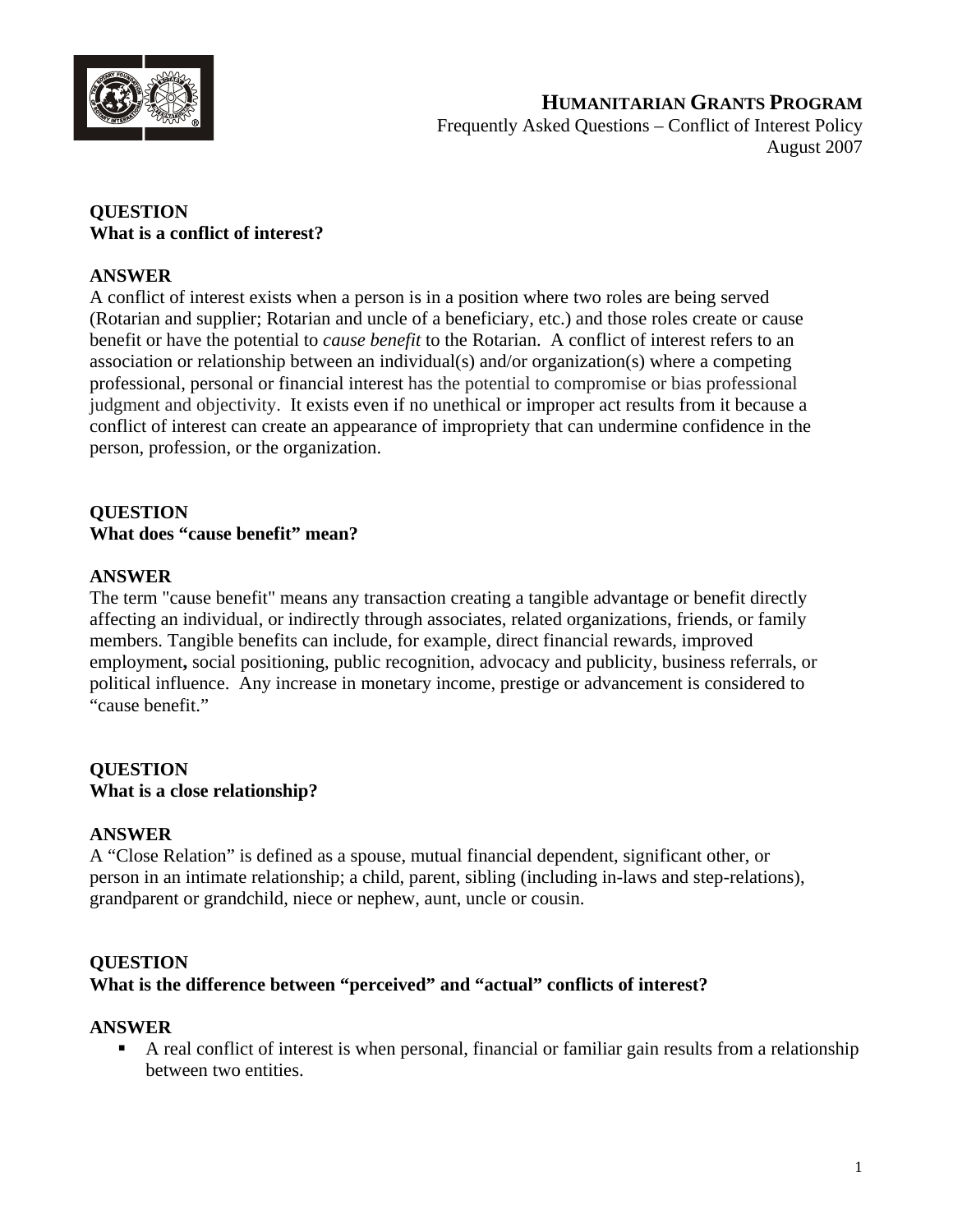

**HUMANITARIAN GRANTS PROGRAM** Frequently Asked Questions – Conflict of Interest Policy August 2007

#### **QUESTION What is a conflict of interest?**

#### **ANSWER**

A conflict of interest exists when a person is in a position where two roles are being served (Rotarian and supplier; Rotarian and uncle of a beneficiary, etc.) and those roles create or cause benefit or have the potential to *cause benefit* to the Rotarian. A conflict of interest refers to an association or relationship between an individual(s) and/or organization(s) where a competing professional, personal or financial interest has the potential to compromise or bias professional judgment and objectivity. It exists even if no unethical or improper act results from it because a conflict of interest can create an appearance of impropriety that can undermine confidence in the person, profession, or the organization.

## **QUESTION What does "cause benefit" mean?**

#### **ANSWER**

The term "cause benefit" means any transaction creating a tangible advantage or benefit directly affecting an individual, or indirectly through associates, related organizations, friends, or family members. Tangible benefits can include, for example, direct financial rewards, improved employment**,** social positioning, public recognition, advocacy and publicity, business referrals, or political influence. Any increase in monetary income, prestige or advancement is considered to "cause benefit."

## **QUESTION What is a close relationship?**

#### **ANSWER**

A "Close Relation" is defined as a spouse, mutual financial dependent, significant other, or person in an intimate relationship; a child, parent, sibling (including in-laws and step-relations), grandparent or grandchild, niece or nephew, aunt, uncle or cousin.

#### **QUESTION**

#### **What is the difference between "perceived" and "actual" conflicts of interest?**

#### **ANSWER**

 A real conflict of interest is when personal, financial or familiar gain results from a relationship between two entities.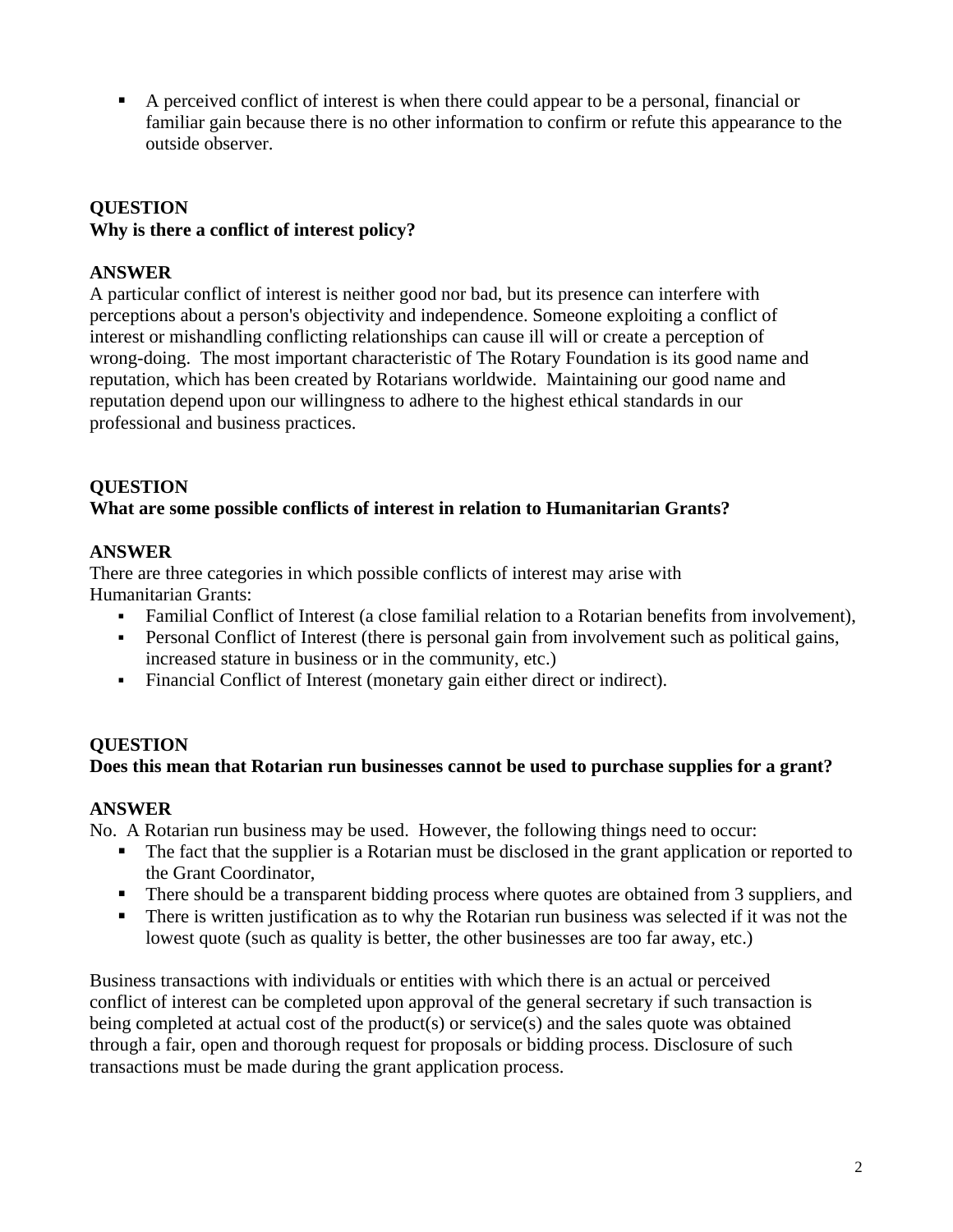A perceived conflict of interest is when there could appear to be a personal, financial or familiar gain because there is no other information to confirm or refute this appearance to the outside observer.

# **QUESTION Why is there a conflict of interest policy?**

## **ANSWER**

A particular conflict of interest is neither good nor bad, but its presence can interfere with perceptions about a person's objectivity and independence. Someone exploiting a conflict of interest or mishandling conflicting relationships can cause ill will or create a perception of wrong-doing. The most important characteristic of The Rotary Foundation is its good name and reputation, which has been created by Rotarians worldwide. Maintaining our good name and reputation depend upon our willingness to adhere to the highest ethical standards in our professional and business practices.

## **QUESTION**

## **What are some possible conflicts of interest in relation to Humanitarian Grants?**

#### **ANSWER**

There are three categories in which possible conflicts of interest may arise with Humanitarian Grants:

- Familial Conflict of Interest (a close familial relation to a Rotarian benefits from involvement),
- Personal Conflict of Interest (there is personal gain from involvement such as political gains, increased stature in business or in the community, etc.)
- Financial Conflict of Interest (monetary gain either direct or indirect).

## **QUESTION**

## **Does this mean that Rotarian run businesses cannot be used to purchase supplies for a grant?**

#### **ANSWER**

No. A Rotarian run business may be used. However, the following things need to occur:

- The fact that the supplier is a Rotarian must be disclosed in the grant application or reported to the Grant Coordinator,
- **There should be a transparent bidding process where quotes are obtained from 3 suppliers, and**
- There is written justification as to why the Rotarian run business was selected if it was not the lowest quote (such as quality is better, the other businesses are too far away, etc.)

Business transactions with individuals or entities with which there is an actual or perceived conflict of interest can be completed upon approval of the general secretary if such transaction is being completed at actual cost of the product(s) or service(s) and the sales quote was obtained through a fair, open and thorough request for proposals or bidding process. Disclosure of such transactions must be made during the grant application process.